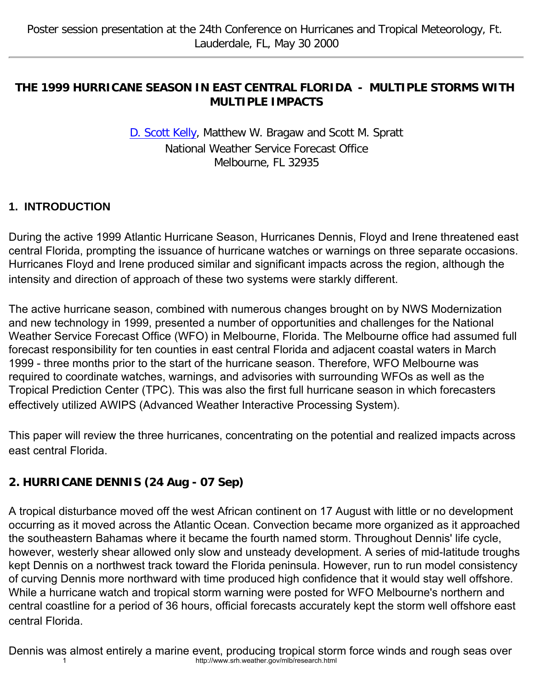#### **THE 1999 HURRICANE SEASON IN EAST CENTRAL FLORIDA - MULTIPLE STORMS WITH MULTIPLE IMPACTS**

[D. Scott Kelly](mailto:scott.kelly@noaa.gov), Matthew W. Bragaw and Scott M. Spratt National Weather Service Forecast Office Melbourne, FL 32935

#### **1. INTRODUCTION**

During the active 1999 Atlantic Hurricane Season, Hurricanes Dennis, Floyd and Irene threatened east central Florida, prompting the issuance of hurricane watches or warnings on three separate occasions. Hurricanes Floyd and Irene produced similar and significant impacts across the region, although the intensity and direction of approach of these two systems were starkly different.

The active hurricane season, combined with numerous changes brought on by NWS Modernization and new technology in 1999, presented a number of opportunities and challenges for the National Weather Service Forecast Office (WFO) in Melbourne, Florida. The Melbourne office had assumed full forecast responsibility for ten counties in east central Florida and adjacent coastal waters in March 1999 - three months prior to the start of the hurricane season. Therefore, WFO Melbourne was required to coordinate watches, warnings, and advisories with surrounding WFOs as well as the Tropical Prediction Center (TPC). This was also the first full hurricane season in which forecasters effectively utilized AWIPS (Advanced Weather Interactive Processing System).

This paper will review the three hurricanes, concentrating on the potential and realized impacts across east central Florida.

## **2. HURRICANE DENNIS (24 Aug - 07 Sep)**

A tropical disturbance moved off the west African continent on 17 August with little or no development occurring as it moved across the Atlantic Ocean. Convection became more organized as it approached the southeastern Bahamas where it became the fourth named storm. Throughout Dennis' life cycle, however, westerly shear allowed only slow and unsteady development. A series of mid-latitude troughs kept Dennis on a northwest track toward the Florida peninsula. However, run to run model consistency of curving Dennis more northward with time produced high confidence that it would stay well offshore. While a hurricane watch and tropical storm warning were posted for WFO Melbourne's northern and central coastline for a period of 36 hours, official forecasts accurately kept the storm well offshore east central Florida.

Dennis was almost entirely a marine event, producing tropical storm force winds and rough seas over 1 http://www.srh.weather.gov/mlb/research.html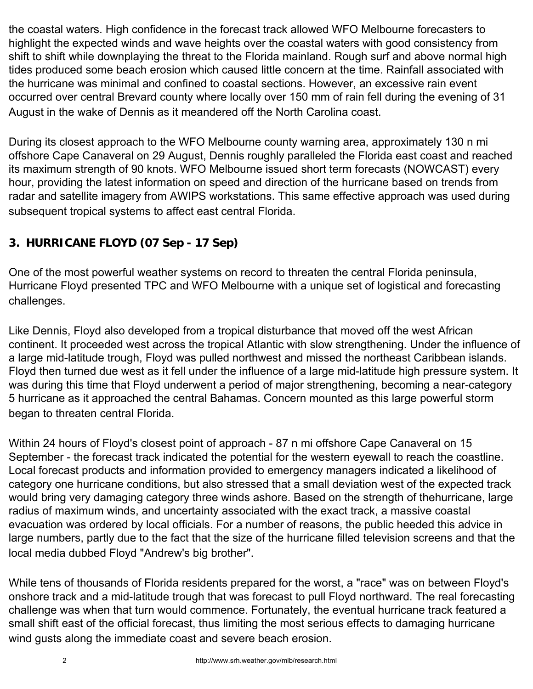the coastal waters. High confidence in the forecast track allowed WFO Melbourne forecasters to highlight the expected winds and wave heights over the coastal waters with good consistency from shift to shift while downplaying the threat to the Florida mainland. Rough surf and above normal high tides produced some beach erosion which caused little concern at the time. Rainfall associated with the hurricane was minimal and confined to coastal sections. However, an excessive rain event occurred over central Brevard county where locally over 150 mm of rain fell during the evening of 31 August in the wake of Dennis as it meandered off the North Carolina coast.

During its closest approach to the WFO Melbourne county warning area, approximately 130 n mi offshore Cape Canaveral on 29 August, Dennis roughly paralleled the Florida east coast and reached its maximum strength of 90 knots. WFO Melbourne issued short term forecasts (NOWCAST) every hour, providing the latest information on speed and direction of the hurricane based on trends from radar and satellite imagery from AWIPS workstations. This same effective approach was used during subsequent tropical systems to affect east central Florida.

# **3. HURRICANE FLOYD (07 Sep - 17 Sep)**

One of the most powerful weather systems on record to threaten the central Florida peninsula, Hurricane Floyd presented TPC and WFO Melbourne with a unique set of logistical and forecasting challenges.

Like Dennis, Floyd also developed from a tropical disturbance that moved off the west African continent. It proceeded west across the tropical Atlantic with slow strengthening. Under the influence of a large mid-latitude trough, Floyd was pulled northwest and missed the northeast Caribbean islands. Floyd then turned due west as it fell under the influence of a large mid-latitude high pressure system. It was during this time that Floyd underwent a period of major strengthening, becoming a near-category 5 hurricane as it approached the central Bahamas. Concern mounted as this large powerful storm began to threaten central Florida.

Within 24 hours of Floyd's closest point of approach - 87 n mi offshore Cape Canaveral on 15 September - the forecast track indicated the potential for the western eyewall to reach the coastline. Local forecast products and information provided to emergency managers indicated a likelihood of category one hurricane conditions, but also stressed that a small deviation west of the expected track would bring very damaging category three winds ashore. Based on the strength of thehurricane, large radius of maximum winds, and uncertainty associated with the exact track, a massive coastal evacuation was ordered by local officials. For a number of reasons, the public heeded this advice in large numbers, partly due to the fact that the size of the hurricane filled television screens and that the local media dubbed Floyd "Andrew's big brother".

While tens of thousands of Florida residents prepared for the worst, a "race" was on between Floyd's onshore track and a mid-latitude trough that was forecast to pull Floyd northward. The real forecasting challenge was when that turn would commence. Fortunately, the eventual hurricane track featured a small shift east of the official forecast, thus limiting the most serious effects to damaging hurricane wind gusts along the immediate coast and severe beach erosion.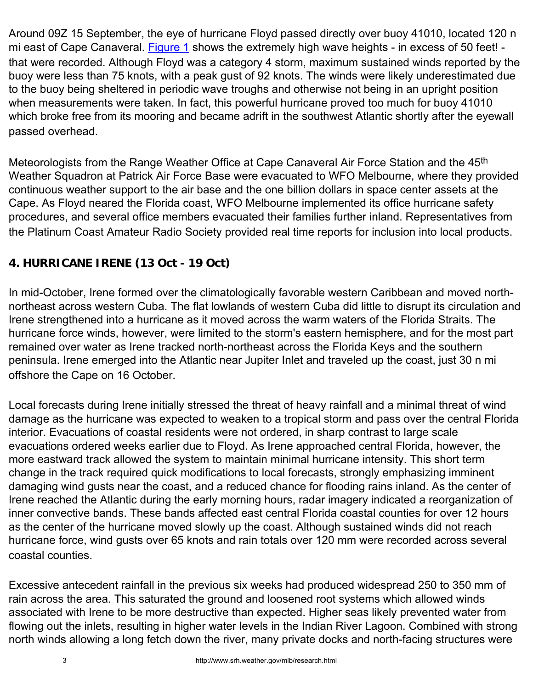Around 09Z 15 September, the eye of hurricane Floyd passed directly over buoy 41010, located 120 n mi east of Cape Canaveral. [Figure 1](#page-3-0) shows the extremely high wave heights - in excess of 50 feet! that were recorded. Although Floyd was a category 4 storm, maximum sustained winds reported by the buoy were less than 75 knots, with a peak gust of 92 knots. The winds were likely underestimated due to the buoy being sheltered in periodic wave troughs and otherwise not being in an upright position when measurements were taken. In fact, this powerful hurricane proved too much for buoy 41010 which broke free from its mooring and became adrift in the southwest Atlantic shortly after the eyewall passed overhead.

Meteorologists from the Range Weather Office at Cape Canaveral Air Force Station and the 45th Weather Squadron at Patrick Air Force Base were evacuated to WFO Melbourne, where they provided continuous weather support to the air base and the one billion dollars in space center assets at the Cape. As Floyd neared the Florida coast, WFO Melbourne implemented its office hurricane safety procedures, and several office members evacuated their families further inland. Representatives from the Platinum Coast Amateur Radio Society provided real time reports for inclusion into local products.

## **4. HURRICANE IRENE (13 Oct - 19 Oct)**

In mid-October, Irene formed over the climatologically favorable western Caribbean and moved northnortheast across western Cuba. The flat lowlands of western Cuba did little to disrupt its circulation and Irene strengthened into a hurricane as it moved across the warm waters of the Florida Straits. The hurricane force winds, however, were limited to the storm's eastern hemisphere, and for the most part remained over water as Irene tracked north-northeast across the Florida Keys and the southern peninsula. Irene emerged into the Atlantic near Jupiter Inlet and traveled up the coast, just 30 n mi offshore the Cape on 16 October.

Local forecasts during Irene initially stressed the threat of heavy rainfall and a minimal threat of wind damage as the hurricane was expected to weaken to a tropical storm and pass over the central Florida interior. Evacuations of coastal residents were not ordered, in sharp contrast to large scale evacuations ordered weeks earlier due to Floyd. As Irene approached central Florida, however, the more eastward track allowed the system to maintain minimal hurricane intensity. This short term change in the track required quick modifications to local forecasts, strongly emphasizing imminent damaging wind gusts near the coast, and a reduced chance for flooding rains inland. As the center of Irene reached the Atlantic during the early morning hours, radar imagery indicated a reorganization of inner convective bands. These bands affected east central Florida coastal counties for over 12 hours as the center of the hurricane moved slowly up the coast. Although sustained winds did not reach hurricane force, wind gusts over 65 knots and rain totals over 120 mm were recorded across several coastal counties.

Excessive antecedent rainfall in the previous six weeks had produced widespread 250 to 350 mm of rain across the area. This saturated the ground and loosened root systems which allowed winds associated with Irene to be more destructive than expected. Higher seas likely prevented water from flowing out the inlets, resulting in higher water levels in the Indian River Lagoon. Combined with strong north winds allowing a long fetch down the river, many private docks and north-facing structures were